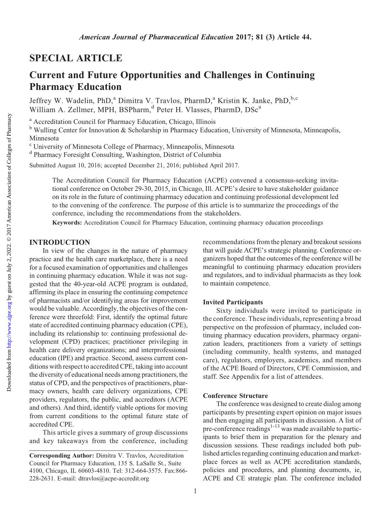# SPECIAL ARTICLE

# Current and Future Opportunities and Challenges in Continuing Pharmacy Education

Jeffrey W. Wadelin, PhD,<sup>a</sup> Dimitra V. Travlos, PharmD,<sup>a</sup> Kristin K. Janke, PhD,<sup>b,c</sup> William A. Zellmer, MPH, BSPharm,<sup>d</sup> Peter H. Vlasses, PharmD, DSc<sup>a</sup>

<sup>a</sup> Accreditation Council for Pharmacy Education, Chicago, Illinois

 $<sup>b</sup>$  Wulling Center for Innovation & Scholarship in Pharmacy Education, University of Minnesota, Minneapolis,</sup> Minnesota

<sup>c</sup> University of Minnesota College of Pharmacy, Minneapolis, Minnesota

<sup>d</sup> Pharmacy Foresight Consulting, Washington, District of Columbia

Submitted August 10, 2016; accepted December 21, 2016; published April 2017.

The Accreditation Council for Pharmacy Education (ACPE) convened a consensus-seeking invitational conference on October 29-30, 2015, in Chicago, Ill. ACPE's desire to have stakeholder guidance on its role in the future of continuing pharmacy education and continuing professional development led to the convening of the conference. The purpose of this article is to summarize the proceedings of the conference, including the recommendations from the stakeholders.

Keywords: Accreditation Council for Pharmacy Education, continuing pharmacy education proceedings

# INTRODUCTION

In view of the changes in the nature of pharmacy practice and the health care marketplace, there is a need for a focused examination of opportunities and challenges in continuing pharmacy education. While it was not suggested that the 40-year-old ACPE program is outdated, affirming its place in ensuring the continuing competence of pharmacists and/or identifying areas for improvement would be valuable. Accordingly, the objectives of the conference were threefold: First, identify the optimal future state of accredited continuing pharmacy education (CPE), including its relationship to: continuing professional development (CPD) practices; practitioner privileging in health care delivery organizations; and interprofessional education (IPE) and practice. Second, assess current conditions with respect to accredited CPE, taking into account the diversity of educational needs among practitioners, the status of CPD, and the perspectives of practitioners, pharmacy owners, health care delivery organizations, CPE providers, regulators, the public, and accreditors (ACPE and others). And third, identify viable options for moving from current conditions to the optimal future state of accredited CPE.

This article gives a summary of group discussions and key takeaways from the conference, including recommendations from the plenary and breakout sessions that will guide ACPE's strategic planning. Conference organizers hoped that the outcomes of the conference will be meaningful to continuing pharmacy education providers and regulators, and to individual pharmacists as they look to maintain competence.

## Invited Participants

Sixty individuals were invited to participate in the conference. These individuals, representing a broad perspective on the profession of pharmacy, included continuing pharmacy education providers, pharmacy organization leaders, practitioners from a variety of settings (including community, health systems, and managed care), regulators, employers, academics, and members of the ACPE Board of Directors, CPE Commission, and staff. See Appendix for a list of attendees.

#### Conference Structure

The conference was designed to create dialog among participants by presenting expert opinion on major issues and then engaging all participants in discussion. A list of pre-conference readings<sup>1-13</sup> was made available to participants to brief them in preparation for the plenary and discussion sessions. These readings included both published articles regarding continuing education and marketplace forces as well as ACPE accreditation standards, policies and procedures, and planning documents, ie, ACPE and CE strategic plan. The conference included

Corresponding Author: Dimitra V. Travlos, Accreditation Council for Pharmacy Education, 135 S. LaSalle St., Suite 4100, Chicago, IL 60603-4810. Tel: 312-664-3575. Fax:866- 228-2631. E-mail: [dtravlos@acpe-accredit.org](mailto:dtravlos@acpe-accredit.org)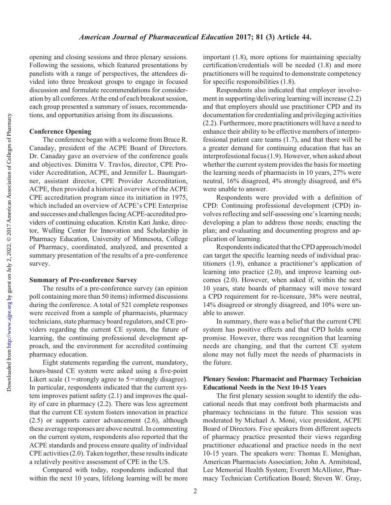Downloaded from

opening and closing sessions and three plenary sessions. Following the sessions, which featured presentations by panelists with a range of perspectives, the attendees divided into three breakout groups to engage in focused discussion and formulate recommendations for consideration by all conferees. At the end of each breakout session, each group presented a summary of issues, recommendations, and opportunities arising from its discussions.

# Conference Opening

The conference began with a welcome from Bruce R. Canaday, president of the ACPE Board of Directors. Dr. Canaday gave an overview of the conference goals and objectives. Dimitra V. Travlos, director, CPE Provider Accreditation, ACPE, and Jennifer L. Baumgartner, assistant director, CPE Provider Accreditation, ACPE, then provided a historical overview of the ACPE CPE accreditation program since its initiation in 1975, which included an overview of ACPE's CPE Enterprise and successes and challenges facing ACPE-accredited providers of continuing education. Kristin Kari Janke, director, Wulling Center for Innovation and Scholarship in Pharmacy Education, University of Minnesota, College of Pharmacy, coordinated, analyzed, and presented a summary presentation of the results of a pre-conference survey.

## Summary of Pre-conference Survey

The results of a pre-conference survey (an opinion poll containing more than 50 items) informed discussions during the conference. A total of 521 complete responses were received from a sample of pharmacists, pharmacy technicians, state pharmacy board regulators, and CE providers regarding the current CE system, the future of learning, the continuing professional development approach, and the environment for accredited continuing pharmacy education.

Eight statements regarding the current, mandatory, hours-based CE system were asked using a five-point Likert scale (1=strongly agree to 5=strongly disagree). In particular, respondents indicated that the current system improves patient safety (2.1) and improves the quality of care in pharmacy (2.2). There was less agreement that the current CE system fosters innovation in practice (2.5) or supports career advancement (2.6), although these average responses are above neutral. In commenting on the current system, respondents also reported that the ACPE standards and process ensure quality of individual CPE activities (2.0). Taken together, these results indicate a relatively positive assessment of CPE in the US.

Compared with today, respondents indicated that within the next 10 years, lifelong learning will be more

important (1.8), more options for maintaining specialty certification/credentials will be needed (1.8) and more practitioners will be required to demonstrate competency for specific responsibilities (1.8).

Respondents also indicated that employer involvement in supporting/delivering learning will increase (2.2) and that employers should use practitioner CPD and its documentation for credentialing and privileging activities (2.2). Furthermore, more practitioners will have a need to enhance their ability to be effective members of interprofessional patient care teams (1.7), and that there will be a greater demand for continuing education that has an interprofessional focus (1.9). However, when asked about whether the current system provides the basis for meeting the learning needs of pharmacists in 10 years, 27% were neutral, 16% disagreed, 4% strongly disagreed, and 6% were unable to answer.

Respondents were provided with a definition of CPD: Continuing professional development (CPD) involves reflecting and self-assessing one's learning needs; developing a plan to address those needs; enacting the plan; and evaluating and documenting progress and application of learning.

Respondents indicated that the CPD approach/model can target the specific learning needs of individual practitioners (1.9), enhance a practitioner's application of learning into practice (2.0), and improve learning outcomes (2.0). However, when asked if, within the next 10 years, state boards of pharmacy will move toward a CPD requirement for re-licensure, 38% were neutral, 14% disagreed or strongly disagreed, and 10% were unable to answer.

In summary, there was a belief that the current CPE system has positive effects and that CPD holds some promise. However, there was recognition that learning needs are changing, and that the current CE system alone may not fully meet the needs of pharmacists in the future.

# Plenary Session: Pharmacist and Pharmacy Technician Educational Needs in the Next 10-15 Years

The first plenary session sought to identify the educational needs that may confront both pharmacists and pharmacy technicians in the future. This session was moderated by Michael A. Moné, vice president, ACPE Board of Directors. Five speakers from different aspects of pharmacy practice presented their views regarding practitioner educational and practice needs in the next 10-15 years. The speakers were: Thomas E. Menighan, American Pharmacists Association; John A. Armitstead, Lee Memorial Health System; Everett McAllister, Pharmacy Technician Certification Board; Steven W. Gray,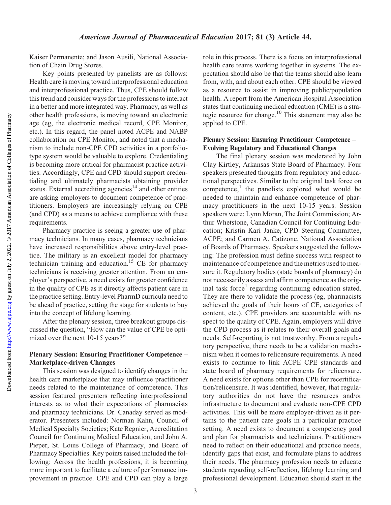Kaiser Permanente; and Jason Ausili, National Association of Chain Drug Stores.

Key points presented by panelists are as follows: Health care is moving toward interprofessional education and interprofessional practice. Thus, CPE should follow this trend and consider ways for the professions to interact in a better and more integrated way. Pharmacy, as well as other health professions, is moving toward an electronic age (eg, the electronic medical record, CPE Monitor, etc.). In this regard, the panel noted ACPE and NABP collaboration on CPE Monitor, and noted that a mechanism to include non-CPE CPD activities in a portfoliotype system would be valuable to explore. Credentialing is becoming more critical for pharmacist practice activities. Accordingly, CPE and CPD should support credentialing and ultimately pharmacists obtaining provider status. External accrediting agencies<sup>14</sup> and other entities are asking employers to document competence of practitioners. Employers are increasingly relying on CPE (and CPD) as a means to achieve compliance with these requirements.

Pharmacy practice is seeing a greater use of pharmacy technicians. In many cases, pharmacy technicians have increased responsibilities above entry-level practice. The military is an excellent model for pharmacy technician training and education.<sup>15</sup> CE for pharmacy technicians is receiving greater attention. From an employer's perspective, a need exists for greater confidence in the quality of CPE as it directly affects patient care in the practice setting. Entry-level PharmD curricula need to be ahead of practice, setting the stage for students to buy into the concept of lifelong learning.

After the plenary session, three breakout groups discussed the question, "How can the value of CPE be optimized over the next 10-15 years?"

# Plenary Session: Ensuring Practitioner Competence – Marketplace-driven Changes

This session was designed to identify changes in the health care marketplace that may influence practitioner needs related to the maintenance of competence. This session featured presenters reflecting interprofessional interests as to what their expectations of pharmacists and pharmacy technicians. Dr. Canaday served as moderator. Presenters included: Norman Kahn, Council of Medical Specialty Societies; Kate Regnier, Accreditation Council for Continuing Medical Education; and John A. Pieper, St. Louis College of Pharmacy, and Board of Pharmacy Specialties. Key points raised included the following: Across the health professions, it is becoming more important to facilitate a culture of performance improvement in practice. CPE and CPD can play a large

role in this process. There is a focus on interprofessional health care teams working together in systems. The expectation should also be that the teams should also learn from, with, and about each other. CPE should be viewed as a resource to assist in improving public/population health. A report from the American Hospital Association states that continuing medical education (CME) is a strategic resource for change.10 This statement may also be applied to CPE.

## Plenary Session: Ensuring Practitioner Competence – Evolving Regulatory and Educational Changes

The final plenary session was moderated by John Clay Kirtley, Arkansas State Board of Pharmacy. Four speakers presented thoughts from regulatory and educational perspectives. Similar to the original task force on competence,<sup>1</sup> the panelists explored what would be needed to maintain and enhance competence of pharmacy practitioners in the next 10-15 years. Session speakers were: Lynn Moran, The Joint Commission; Arthur Whetstone, Canadian Council for Continuing Education; Kristin Kari Janke, CPD Steering Committee, ACPE; and Carmen A. Catizone, National Association of Boards of Pharmacy. Speakers suggested the following: The profession must define success with respect to maintenance of competence and the metrics used to measure it. Regulatory bodies (state boards of pharmacy) do not necessarily assess and affirm competence as the original task force<sup>1</sup> regarding continuing education stated. They are there to validate the process (eg, pharmacists achieved the goals of their hours of CE, categories of content, etc.). CPE providers are accountable with respect to the quality of CPE. Again, employers will drive the CPD process as it relates to their overall goals and needs. Self-reporting is not trustworthy. From a regulatory perspective, there needs to be a validation mechanism when it comes to relicensure requirements. A need exists to continue to link ACPE CPE standards and state board of pharmacy requirements for relicensure. A need exists for options other than CPE for recertification/relicensure. It was identified, however, that regulatory authorities do not have the resources and/or infrastructure to document and evaluate non-CPE CPD activities. This will be more employer-driven as it pertains to the patient care goals in a particular practice setting. A need exists to document a competency goal and plan for pharmacists and technicians. Practitioners need to reflect on their educational and practice needs, identify gaps that exist, and formulate plans to address their needs. The pharmacy profession needs to educate students regarding self-reflection, lifelong learning and professional development. Education should start in the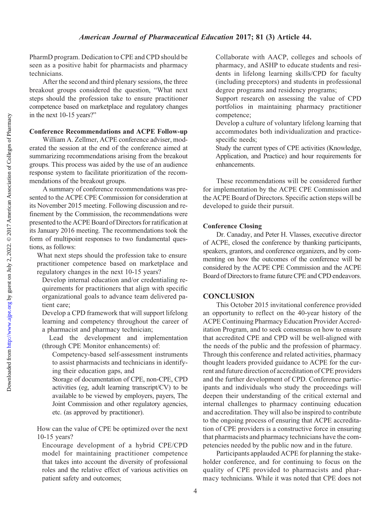PharmD program. Dedication to CPE and CPD should be seen as a positive habit for pharmacists and pharmacy technicians.

After the second and third plenary sessions, the three breakout groups considered the question, "What next steps should the profession take to ensure practitioner competence based on marketplace and regulatory changes in the next 10-15 years?"

## Conference Recommendations and ACPE Follow-up

William A. Zellmer, ACPE conference adviser, moderated the session at the end of the conference aimed at summarizing recommendations arising from the breakout groups. This process was aided by the use of an audience response system to facilitate prioritization of the recommendations of the breakout groups.

A summary of conference recommendations was presented to the ACPE CPE Commission for consideration at its November 2015 meeting. Following discussion and refinement by the Commission, the recommendations were presented tothe ACPE Board of Directors for ratification at its January 2016 meeting. The recommendations took the form of multipoint responses to two fundamental questions, as follows:

What next steps should the profession take to ensure practitioner competence based on marketplace and regulatory changes in the next 10-15 years?

Develop internal education and/or credentialing requirements for practitioners that align with specific organizational goals to advance team delivered patient care;

Develop a CPD framework that will support lifelong learning and competency throughout the career of a pharmacist and pharmacy technician;

Lead the development and implementation (through CPE Monitor enhancements) of:

Competency-based self-assessment instruments to assist pharmacists and technicians in identifying their education gaps, and

Storage of documentation of CPE, non-CPE, CPD activities (eg, adult learning transcript/CV) to be available to be viewed by employers, payers, The Joint Commission and other regulatory agencies, etc. (as approved by practitioner).

How can the value of CPE be optimized over the next 10-15 years?

Encourage development of a hybrid CPE/CPD model for maintaining practitioner competence that takes into account the diversity of professional roles and the relative effect of various activities on patient safety and outcomes;

Collaborate with AACP, colleges and schools of pharmacy, and ASHP to educate students and residents in lifelong learning skills/CPD for faculty (including preceptors) and students in professional degree programs and residency programs;

Support research on assessing the value of CPD portfolios in maintaining pharmacy practitioner competence;

Develop a culture of voluntary lifelong learning that accommodates both individualization and practicespecific needs;

Study the current types of CPE activities (Knowledge, Application, and Practice) and hour requirements for enhancements.

These recommendations will be considered further for implementation by the ACPE CPE Commission and the ACPE Board of Directors. Specific action steps will be developed to guide their pursuit.

## Conference Closing

Dr. Canaday, and Peter H. Vlasses, executive director of ACPE, closed the conference by thanking participants, speakers, grantors, and conference organizers, and by commenting on how the outcomes of the conference will be considered by the ACPE CPE Commission and the ACPE Board of Directors to frame future CPE and CPD endeavors.

#### **CONCLUSION**

This October 2015 invitational conference provided an opportunity to reflect on the 40-year history of the ACPE Continuing Pharmacy Education Provider Accreditation Program, and to seek consensus on how to ensure that accredited CPE and CPD will be well-aligned with the needs of the public and the profession of pharmacy. Through this conference and related activities, pharmacy thought leaders provided guidance to ACPE for the current and future direction of accreditation of CPE providers and the further development of CPD. Conference participants and individuals who study the proceedings will deepen their understanding of the critical external and internal challenges to pharmacy continuing education and accreditation. They will also be inspired to contribute to the ongoing process of ensuring that ACPE accreditation of CPE providers is a constructive force in ensuring that pharmacists and pharmacy technicians have the competencies needed by the public now and in the future.

Participants applauded ACPE for planning the stakeholder conference, and for continuing to focus on the quality of CPE provided to pharmacists and pharmacy technicians. While it was noted that CPE does not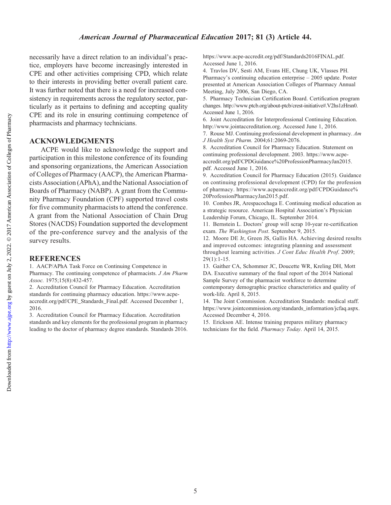necessarily have a direct relation to an individual's practice, employers have become increasingly interested in CPE and other activities comprising CPD, which relate to their interests in providing better overall patient care. It was further noted that there is a need for increased consistency in requirements across the regulatory sector, particularly as it pertains to defining and accepting quality CPE and its role in ensuring continuing competence of pharmacists and pharmacy technicians.

# ACKNOWLEDGMENTS

ACPE would like to acknowledge the support and participation in this milestone conference of its founding and sponsoring organizations, the American Association of Colleges of Pharmacy (AACP), the American Pharmacists Association (APhA), and the National Association of Boards of Pharmacy (NABP). A grant from the Community Pharmacy Foundation (CPF) supported travel costs for five community pharmacists to attend the conference. A grant from the National Association of Chain Drug Stores (NACDS) Foundation supported the development of the pre-conference survey and the analysis of the survey results.

# **REFERENCES**

1. AACP/APhA Task Force on Continuing Competence in Pharmacy. The continuing competence of pharmacists. *J Am Pharm* Assoc. 1975;15(8):432-457.

2. Accreditation Council for Pharmacy Education. Accreditation standards for continuing pharmacy education. [https://www.acpe](https://www.acpe-accredit.org/pdf/CPE_Standards_Final.pdf)[accredit.org/pdf/CPE\\_Standards\\_Final.pdf](https://www.acpe-accredit.org/pdf/CPE_Standards_Final.pdf). Accessed December 1, 2016.

3. Accreditation Council for Pharmacy Education. Accreditation standards and key elements for the professional program in pharmacy leading to the doctor of pharmacy degree standards. Standards 2016. [https://www.acpe-accredit.org/pdf/Standards2016FINAL.pdf.](https://www.acpe-accredit.org/pdf/Standards2016FINAL.pdf) Accessed June 1, 2016.

4. Travlos DV, Sesti AM, Evans HE, Chung UK, Vlasses PH. Pharmacy's continuing education enterprise – 2005 update. Poster presented at American Association Colleges of Pharmacy Annual Meeting, July 2006, San Diego, CA.

5. Pharmacy Technician Certification Board. Certification program changes. [http://www.ptcb.org/about-ptcb/crest-initiative#.V2hs1zHrsn0.](http://www.ptcb.org/about-ptcb/crest-initiative#.V2hs1zHrsn0) Accessed June 1, 2016.

6. Joint Accreditation for Interprofessional Continuing Education. <http://www.jointaccreditation.org>. Accessed June 1, 2016.

7. Rouse MJ. Continuing professional development in pharmacy. Am J Health Syst Pharm. 2004;61:2069-2076.

8. Accreditation Council for Pharmacy Education. Statement on continuing professional development. 2003. [https://www.acpe](https://www.acpe-accredit.org/pdf/CPDGuidance%20ProfessionPharmacyJan2015.pdf)[accredit.org/pdf/CPDGuidance%20ProfessionPharmacyJan2015.](https://www.acpe-accredit.org/pdf/CPDGuidance%20ProfessionPharmacyJan2015.pdf) [pdf.](https://www.acpe-accredit.org/pdf/CPDGuidance%20ProfessionPharmacyJan2015.pdf) Accessed June 1, 2016.

9. Accreditation Council for Pharmacy Education (2015). Guidance on continuing professional development (CPD) for the profession of pharmacy. [https://www.acpeaccredit.org/pdf/CPDGuidance%](https://www.acpeaccredit.org/pdf/CPDGuidance%20ProfessionPharmacyJan2015.pdf) [20ProfessionPharmacyJan2015.pdf](https://www.acpeaccredit.org/pdf/CPDGuidance%20ProfessionPharmacyJan2015.pdf).

10. Combes JR, Arespacochaga E. Continuing medical education as a strategic resource. American Hospital Association's Physician Leadership Forum, Chicago, IL. September 2014.

11. Bernstein L. Doctors' group will scrap 10-year re-certification exam. The Washington Post. September 9, 2015.

12. Moore DE Jr, Green JS, Gallis HA. Achieving desired results and improved outcomes: integrating planning and assessment throughout learning activities. J Cont Educ Health Prof. 2009;  $29(1):1-15.$ 

13. Gaither CA, Schommer JC, Doucette WR, Kreling DH, Mott DA. Executive summary of the final report of the 2014 National Sample Survey of the pharmacist workforce to determine contemporary demographic practice characteristics and quality of work-life. April 8, 2015.

14. The Joint Commission. Accreditation Standards: medical staff. [https://www.jointcommission.org/standards\\_information/jcfaq.aspx](https://www.jointcommission.org/standards_information/jcfaq.aspx). Accessed December 4, 2016.

15. Erickson AE. Intense training prepares military pharmacy technicians for the field. Pharmacy Today. April 14, 2015.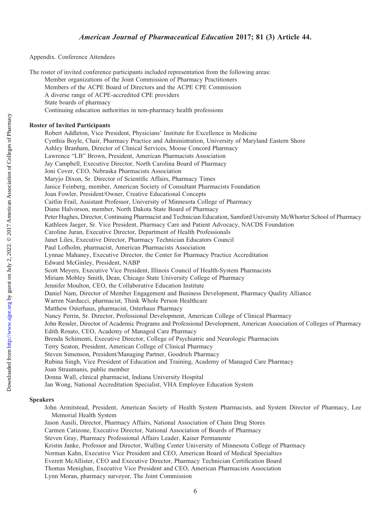Appendix. Conference Attendees

The roster of invited conference participants included representation from the following areas:

Member organizations of the Joint Commission of Pharmacy Practitioners

- Members of the ACPE Board of Directors and the ACPE CPE Commission
- A diverse range of ACPE-accredited CPE providers
- State boards of pharmacy
	- Continuing education authorities in non-pharmacy health professions

#### Roster of Invited Participants

Robert Addleton, Vice President, Physicians' Institute for Excellence in Medicine Cynthia Boyle, Chair, Pharmacy Practice and Administration, University of Maryland Eastern Shore Ashley Branham, Director of Clinical Services, Moose Concord Pharmacy Lawrence "LB" Brown, President, American Pharmacists Association Jay Campbell, Executive Director, North Carolina Board of Pharmacy Joni Cover, CEO, Nebraska Pharmacists Association Maryjo Dixon, Sr. Director of Scientific Affairs, Pharmacy Times Janice Feinberg, member, American Society of Consultant Pharmacists Foundation Joan Fowler, President/Owner, Creative Educational Concepts Caitlin Frail, Assistant Professor, University of Minnesota College of Pharmacy Diane Halvorson, member, North Dakota State Board of Pharmacy Peter Hughes, Director, Continuing Pharmacist and Technician Education, Samford University McWhorter School of Pharmacy Kathleen Jaeger, Sr. Vice President, Pharmacy Care and Patient Advocacy, NACDS Foundation Caroline Juran, Executive Director, Department of Health Professionals Janet Liles, Executive Director, Pharmacy Technician Educators Council Paul Lofholm, pharmacist, American Pharmacists Association Lynnae Mahaney, Executive Director, the Center for Pharmacy Practice Accreditation Edward McGinley, President, NABP Scott Meyers, Executive Vice President, Illinois Council of Health-System Pharmacists Miriam Mobley Smith, Dean, Chicago State University College of Pharmacy Jennifer Moulton, CEO, the Collaborative Education Institute Daniel Nam, Director of Member Engagement and Business Development, Pharmacy Quality Alliance Warren Narducci, pharmacist, Think Whole Person Healthcare Matthew Osterhaus, pharmacist, Osterhaus Pharmacy Nancy Perrin, Sr. Director, Professional Development, American College of Clinical Pharmacy John Ressler, Director of Academic Programs and Professional Development, American Association of Colleges of Pharmacy Edith Rosato, CEO, Academy of Managed Care Pharmacy Brenda Schimenti, Executive Director, College of Psychiatric and Neurologic Pharmacists Terry Seaton, President, American College of Clinical Pharmacy Steven Simenson, President/Managing Partner, Goodrich Pharmacy Rubina Singh, Vice President of Education and Training, Academy of Managed Care Pharmacy Joan Straumanis, public member Donna Wall, clinical pharmacist, Indiana University Hospital Jan Wong, National Accreditation Specialist, VHA Employee Education System

#### Speakers

- John Armitstead, President, American Society of Health System Pharmacists, and System Director of Pharmacy, Lee Memorial Health System
- Jason Ausili, Director, Pharmacy Affairs, National Association of Chain Drug Stores
- Carmen Catizone, Executive Director, National Association of Boards of Pharmacy
- Steven Gray, Pharmacy Professional Affairs Leader, Kaiser Permanente
- Kristin Janke, Professor and Director, Wulling Center University of Minnesota College of Pharmacy
- Norman Kahn, Executive Vice President and CEO, American Board of Medical Specialties
- Everett McAllister, CEO and Executive Director, Pharmacy Technician Certification Board

Thomas Menighan, Executive Vice President and CEO, American Pharmacists Association

Lynn Moran, pharmacy surveyor, The Joint Commission